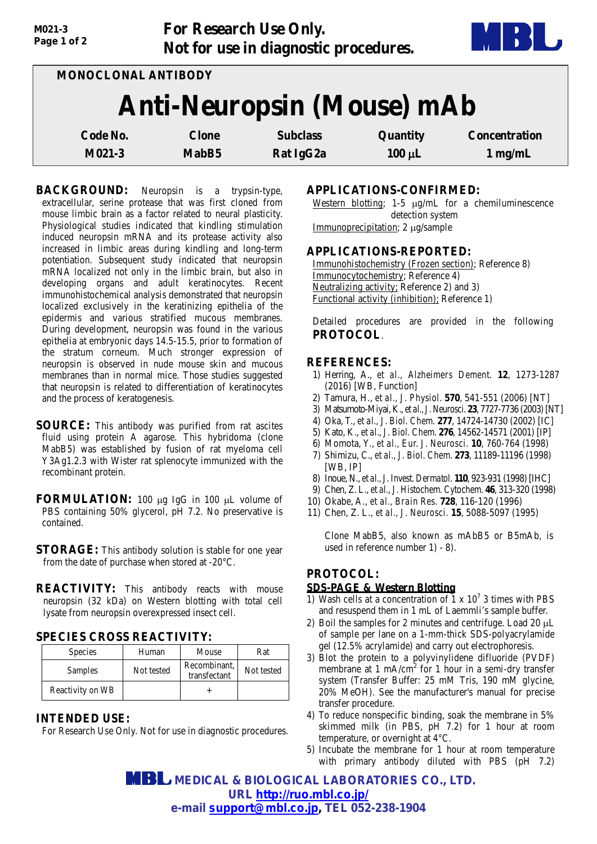| M021-3<br>Page 1 of 2 | <b>For Research Use Only.</b>     | Not for use in diagnostic procedures. |             |                      |
|-----------------------|-----------------------------------|---------------------------------------|-------------|----------------------|
|                       | MONOCLONAL ANTIBODY               |                                       |             |                      |
|                       | <b>Anti-Neuropsin (Mouse) mAb</b> |                                       |             |                      |
| Code No.              | <b>Clone</b>                      | <b>Subclass</b>                       | Quantity    | <b>Concentration</b> |
| M021-3                | MabB5                             | Rat IgG2a                             | $100 \mu L$ | $1$ mg/mL            |

**BACKGROUND:** Neuropsin is a trypsin-type, extracellular, serine protease that was first cloned from mouse limbic brain as a factor related to neural plasticity. Physiological studies indicated that kindling stimulation induced neuropsin mRNA and its protease activity also increased in limbic areas during kindling and long-term potentiation. Subsequent study indicated that neuropsin mRNA localized not only in the limbic brain, but also in developing organs and adult keratinocytes. Recent immunohistochemical analysis demonstrated that neuropsin localized exclusively in the keratinizing epithelia of the epidermis and various stratified mucous membranes. During development, neuropsin was found in the various epithelia at embryonic days 14.5-15.5, prior to formation of the stratum corneum. Much stronger expression of neuropsin is observed in nude mouse skin and mucous membranes than in normal mice. Those studies suggested that neuropsin is related to differentiation of keratinocytes and the process of keratogenesis.

- **SOURCE:** This antibody was purified from rat ascites fluid using protein A agarose. This hybridoma (clone MabB5) was established by fusion of rat myeloma cell Y3Ag1.2.3 with Wister rat splenocyte immunized with the recombinant protein.
- **FORMULATION:** 100 µg IgG in 100 µL volume of PBS containing 50% glycerol, pH 7.2. No preservative is contained.
- **STORAGE:** This antibody solution is stable for one year from the date of purchase when stored at -20°C.
- **REACTIVITY:** This antibody reacts with mouse neuropsin (32 kDa) on Western blotting with total cell lysate from neuropsin overexpressed insect cell.

#### **SPECIES CROSS REACTIVITY:**

| <b>Species</b>   | Human      | Mouse                        | Rat        |
|------------------|------------|------------------------------|------------|
| Samples          | Not tested | Recombinant,<br>transfectant | Not tested |
| Reactivity on WB |            |                              |            |

# **INTENDED USE:**

For Research Use Only. Not for use in diagnostic procedures.

# **APPLICATIONS-CONFIRMED:**

Western blotting; 1-5  $\mu$ g/mL for a chemiluminescence detection system Immunoprecipitation; 2 µg/sample

### **APPLICATIONS-REPORTED:**

Immunohistochemistry (Frozen section); Reference 8) Immunocytochemistry; Reference 4) Neutralizing activity; Reference 2) and 3) Functional activity (inhibition); Reference 1)

Detailed procedures are provided in the following **PROTOCOL**.

### **REFERENCES:**

- 1) Herring, A., *et al., Alzheimers Dement.* **12**, 1273-1287 (2016) [WB, Function]
- 2) Tamura, H., *et al., J. Physiol*. **570**, 541-551 (2006) [NT]
- 3) Matsumoto-Miyai,K., *et al., J. Neurosci*. **23**, 7727-7736 (2003)[NT]
- 4) Oka, T., *et al., J. Biol. Chem*. **277**, 14724-14730 (2002) [IC]
- 5) Kato, K., *et al., J. Biol. Chem*. **276**, 14562-14571 (2001) [IP]
- 6) Momota, Y., *et al., Eur. J. Neurosci*. **10**, 760-764 (1998)
- 7) Shimizu, C., *et al., J. Biol. Chem*. **273**, 11189-11196 (1998) [WB, IP]
- 8) Inoue, N., *et al., J.Invest. Dermatol*. **110**, 923-931 (1998)[IHC]
- 9) Chen, Z. L., *et al., J. Histochem. Cytochem.* **46**, 313-320 (1998)
- 10) Okabe, A., *et al., Brain Res*. **728**, 116-120 (1996)
- 11) Chen, Z. L., *et al., J. Neurosci.* **15**, 5088-5097 (1995)

Clone MabB5, also known as mAbB5 or B5mAb, is used in reference number 1) - 8).

# **PROTOCOL:**

### **SDS-PAGE & Western Blotting**

- 1) Wash cells at a concentration of  $1 \times 10^7$  3 times with PBS and resuspend them in 1 mL of Laemmli's sample buffer.
- 2) Boil the samples for 2 minutes and centrifuge. Load 20  $\mu$ L of sample per lane on a 1-mm-thick SDS-polyacrylamide gel (12.5% acrylamide) and carry out electrophoresis.
- 3) Blot the protein to a polyvinylidene difluoride (PVDF) membrane at 1 mA/cm<sup>2</sup> for 1 hour in a semi-dry transfer system (Transfer Buffer: 25 mM Tris, 190 mM glycine, 20% MeOH). See the manufacturer's manual for precise transfer procedure.
- 4) To reduce nonspecific binding, soak the membrane in 5% skimmed milk (in PBS, pH 7.2) for 1 hour at room temperature, or overnight at 4°C.
- 5) Incubate the membrane for 1 hour at room temperature with primary antibody diluted with PBS (pH 7.2)

 **MEDICAL & BIOLOGICAL LABORATORIES CO., LTD. URL<http://ruo.mbl.co.jp/> e-mail [support@mbl.co.jp,](mailto:support@mbl.co.jp) TEL 052-238-1904**